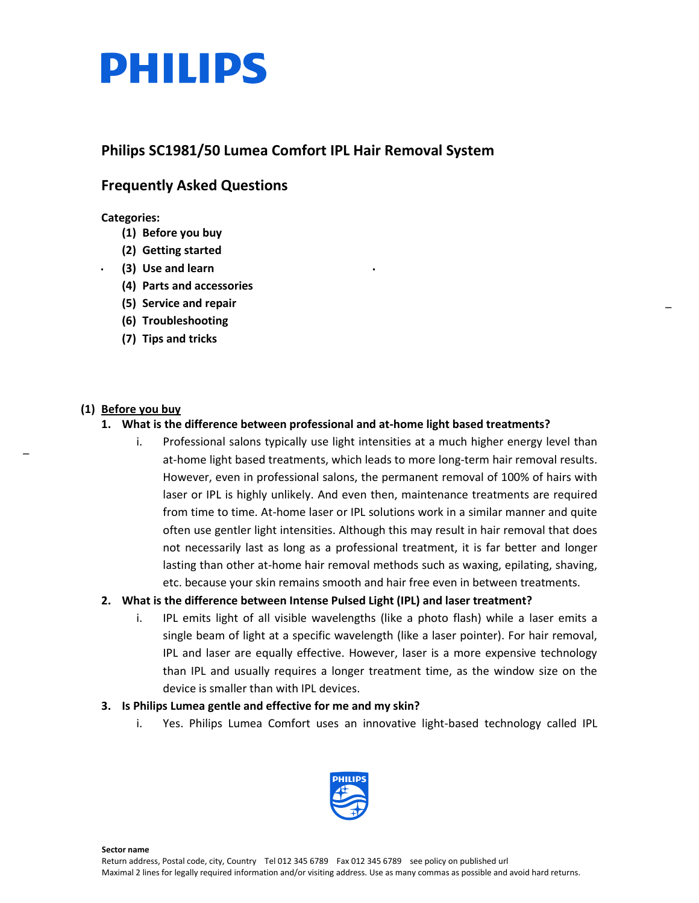

# **Philips SC1981/50 Lumea Comfort IPL Hair Removal System**

# **Frequently Asked Questions**

**Categories:**

- **(1) Before you buy**
- **(2) Getting started**
- **(3) Use and learn**
- **(4) Parts and accessories**
- **(5) Service and repair**
- **(6) Troubleshooting**
- **(7) Tips and tricks**

# **(1) Before you buy**

\_

# **1. What is the difference between professional and at-home light based treatments?**

i. Professional salons typically use light intensities at a much higher energy level than at-home light based treatments, which leads to more long-term hair removal results. However, even in professional salons, the permanent removal of 100% of hairs with laser or IPL is highly unlikely. And even then, maintenance treatments are required from time to time. At-home laser or IPL solutions work in a similar manner and quite often use gentler light intensities. Although this may result in hair removal that does not necessarily last as long as a professional treatment, it is far better and longer lasting than other at-home hair removal methods such as waxing, epilating, shaving, etc. because your skin remains smooth and hair free even in between treatments.

# **2. What is the difference between Intense Pulsed Light (IPL) and laser treatment?**

i. IPL emits light of all visible wavelengths (like a photo flash) while a laser emits a single beam of light at a specific wavelength (like a laser pointer). For hair removal, IPL and laser are equally effective. However, laser is a more expensive technology than IPL and usually requires a longer treatment time, as the window size on the device is smaller than with IPL devices.

# **3. Is Philips Lumea gentle and effective for me and my skin?**

i. Yes. Philips Lumea Comfort uses an innovative light-based technology called IPL



<span id="page-0-0"></span>**Sector name**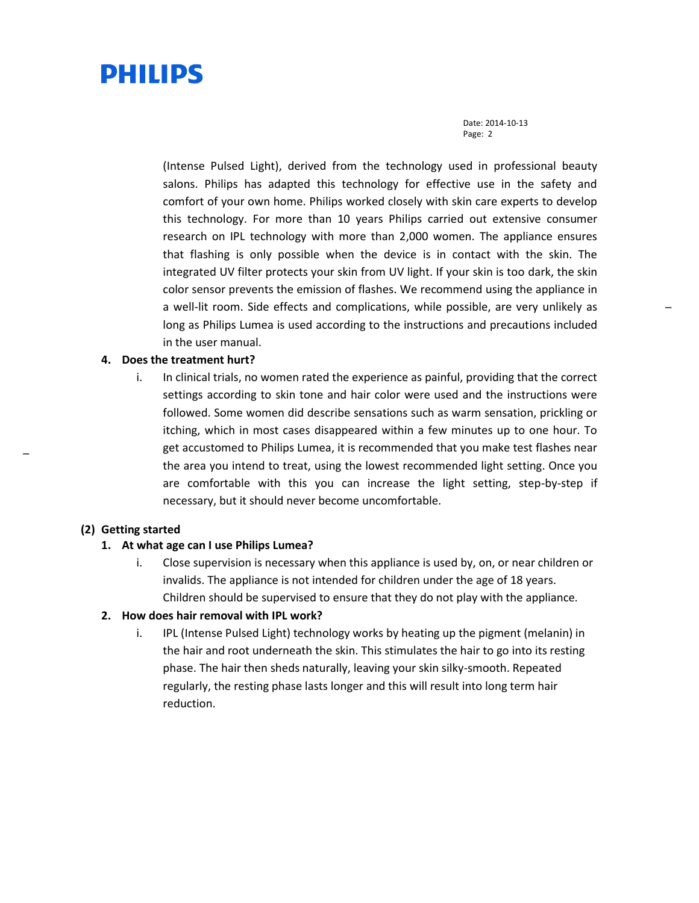Date: 2014-10-13 Page: 2

(Intense Pulsed Light), derived from the technology used in professional beauty salons. Philips has adapted this technology for effective use in the safety and comfort of your own home. Philips worked closely with skin care experts to develop this technology. For more than 10 years Philips carried out extensive consumer research on IPL technology with more than 2,000 women. The appliance ensures that flashing is only possible when the device is in contact with the skin. The integrated UV filter protects your skin from UV light. If your skin is too dark, the skin color sensor prevents the emission of flashes. We recommend using the appliance in a well-lit room. Side effects and complications, while possible, are very unlikely as long as Philips Lumea is used according to the instructions and precautions included in the user manual.

#### **4. Does the treatment hurt?**

i. In clinical trials, no women rated the experience as painful, providing that the correct settings according to skin tone and hair color were used and the instructions were followed. Some women did describe sensations such as warm sensation, prickling or itching, which in most cases disappeared within a few minutes up to one hour. To get accustomed to Philips Lumea, it is recommended that you make test flashes near the area you intend to treat, using the lowest recommended light setting. Once you are comfortable with this you can increase the light setting, step-by-step if necessary, but it should never become uncomfortable.

#### **(2) Getting started**

[\\_](#page-0-0)

# **1. At what age can I use Philips Lumea?**

i. Close supervision is necessary when this appliance is used by, on, or near children or invalids. The appliance is not intended for children under the age of 18 years. Children should be supervised to ensure that they do not play with the appliance.

# **2. How does hair removal with IPL work?**

i. IPL (Intense Pulsed Light) technology works by heating up the pigment (melanin) in the hair and root underneath the skin. This stimulates the hair to go into its resting phase. The hair then sheds naturally, leaving your skin silky-smooth. Repeated regularly, the resting phase lasts longer and this will result into long term hair reduction.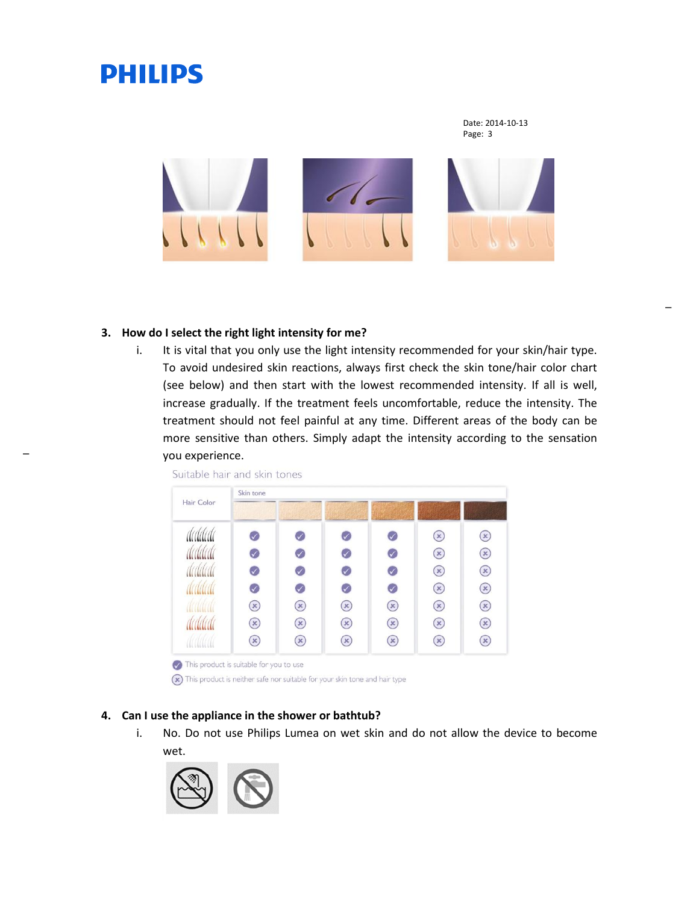Date: 2014-10-13 Page: 3



#### **3. How do I select the right light intensity for me?**

i. It is vital that you only use the light intensity recommended for your skin/hair type. To avoid undesired skin reactions, always first check the skin tone/hair color chart (see below) and then start with the lowest recommended intensity. If all is well, increase gradually. If the treatment feels uncomfortable, reduce the intensity. The treatment should not feel painful at any time. Different areas of the body can be more sensitive than others. Simply adapt the intensity according to the sensation you experience.

| Hair Color | Skin tone    |                            |                |               |                |               |
|------------|--------------|----------------------------|----------------|---------------|----------------|---------------|
|            |              |                            |                |               |                |               |
| dadada     |              |                            |                |               | $\mathbf{x})$  | $\mathbf{x})$ |
|            | $\checkmark$ | $\checkmark$               |                |               | $(\mathbf{x})$ | $\mathbf{x}$  |
|            | $\mathcal V$ | $\blacktriangledown$       | $\checkmark$   | $\mathcal G$  | $(\mathbf{x})$ | $\mathbf{x})$ |
|            | $\checkmark$ | $\blacktriangledown$       | $\checkmark$   |               | $(\mathbf{x})$ | $\mathbf{x}$  |
|            | $\mathbf{x}$ | $\left( \mathbf{x}\right)$ | $\mathbf{x}$   | $\mathbf{x})$ | $\mathbf{x}$   | $\mathbf{x}$  |
|            | $\mathbf{x}$ | $\mathbf{x}$               | $(\mathbf{x})$ | $\mathbf{x})$ | $\mathbf{x}$   | $\mathbf{x}$  |
|            | $\mathbf{x}$ | $(\ast)$                   | $\mathbf{x}$   | $\mathbf{x}$  | $\mathbf{x})$  | $\mathbf{x})$ |

(x) This product is neither safe nor suitable for your skin tone and hair type

# **4. Can I use the appliance in the shower or bathtub?**

i. No. Do not use Philips Lumea on wet skin and do not allow the device to become wet.

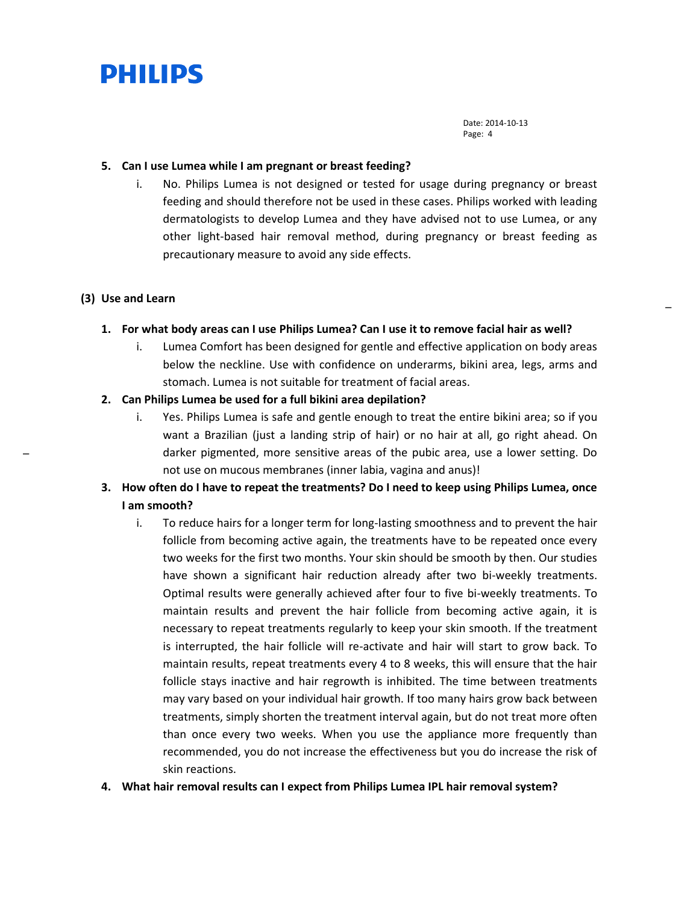

#### **5. Can I use Lumea while I am pregnant or breast feeding?**

i. No. Philips Lumea is not designed or tested for usage during pregnancy or breast feeding and should therefore not be used in these cases. Philips worked with leading dermatologists to develop Lumea and they have advised not to use Lumea, or any other light-based hair removal method, during pregnancy or breast feeding as precautionary measure to avoid any side effects.

### **(3) Use and Learn**

[\\_](#page-0-0)

#### **1. For what body areas can I use Philips Lumea? Can I use it to remove facial hair as well?**

i. Lumea Comfort has been designed for gentle and effective application on body areas below the neckline. Use with confidence on underarms, bikini area, legs, arms and stomach. Lumea is not suitable for treatment of facial areas.

### **2. Can Philips Lumea be used for a full bikini area depilation?**

- i. Yes. Philips Lumea is safe and gentle enough to treat the entire bikini area; so if you want a Brazilian (just a landing strip of hair) or no hair at all, go right ahead. On darker pigmented, more sensitive areas of the pubic area, use a lower setting. Do not use on mucous membranes (inner labia, vagina and anus)!
- **3. How often do I have to repeat the treatments? Do I need to keep using Philips Lumea, once I am smooth?**
	- i. To reduce hairs for a longer term for long-lasting smoothness and to prevent the hair follicle from becoming active again, the treatments have to be repeated once every two weeks for the first two months. Your skin should be smooth by then. Our studies have shown a significant hair reduction already after two bi-weekly treatments. Optimal results were generally achieved after four to five bi-weekly treatments. To maintain results and prevent the hair follicle from becoming active again, it is necessary to repeat treatments regularly to keep your skin smooth. If the treatment is interrupted, the hair follicle will re-activate and hair will start to grow back. To maintain results, repeat treatments every 4 to 8 weeks, this will ensure that the hair follicle stays inactive and hair regrowth is inhibited. The time between treatments may vary based on your individual hair growth. If too many hairs grow back between treatments, simply shorten the treatment interval again, but do not treat more often than once every two weeks. When you use the appliance more frequently than recommended, you do not increase the effectiveness but you do increase the risk of skin reactions.
- **4. What hair removal results can I expect from Philips Lumea IPL hair removal system?**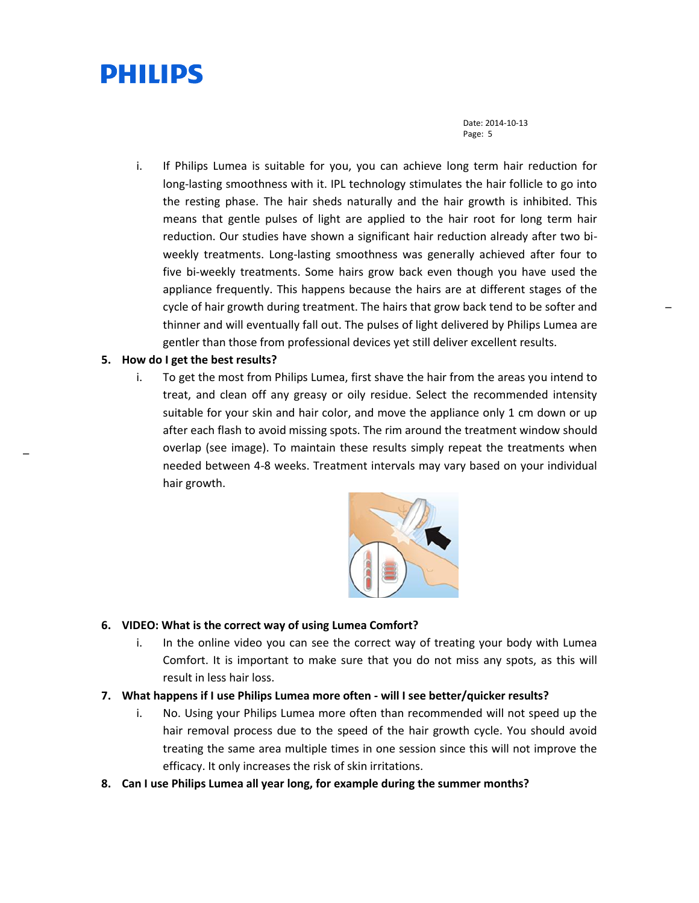Date: 2014-10-13 Page: 5

[\\_](#page-0-0)

i. If Philips Lumea is suitable for you, you can achieve long term hair reduction for long-lasting smoothness with it. IPL technology stimulates the hair follicle to go into the resting phase. The hair sheds naturally and the hair growth is inhibited. This means that gentle pulses of light are applied to the hair root for long term hair reduction. Our studies have shown a significant hair reduction already after two biweekly treatments. Long-lasting smoothness was generally achieved after four to five bi-weekly treatments. Some hairs grow back even though you have used the appliance frequently. This happens because the hairs are at different stages of the cycle of hair growth during treatment. The hairs that grow back tend to be softer and thinner and will eventually fall out. The pulses of light delivered by Philips Lumea are gentler than those from professional devices yet still deliver excellent results.

# **5. How do I get the best results?**

[\\_](#page-0-0)

i. To get the most from Philips Lumea, first shave the hair from the areas you intend to treat, and clean off any greasy or oily residue. Select the recommended intensity suitable for your skin and hair color, and move the appliance only 1 cm down or up after each flash to avoid missing spots. The rim around the treatment window should overlap (see image). To maintain these results simply repeat the treatments when needed between 4-8 weeks. Treatment intervals may vary based on your individual hair growth.



# **6. VIDEO: What is the correct way of using Lumea Comfort?**

- i. In the online video you can see the correct way of treating your body with Lumea Comfort. It is important to make sure that you do not miss any spots, as this will result in less hair loss.
- **7. What happens if I use Philips Lumea more often - will I see better/quicker results?**
	- i. No. Using your Philips Lumea more often than recommended will not speed up the hair removal process due to the speed of the hair growth cycle. You should avoid treating the same area multiple times in one session since this will not improve the efficacy. It only increases the risk of skin irritations.
- **8. Can I use Philips Lumea all year long, for example during the summer months?**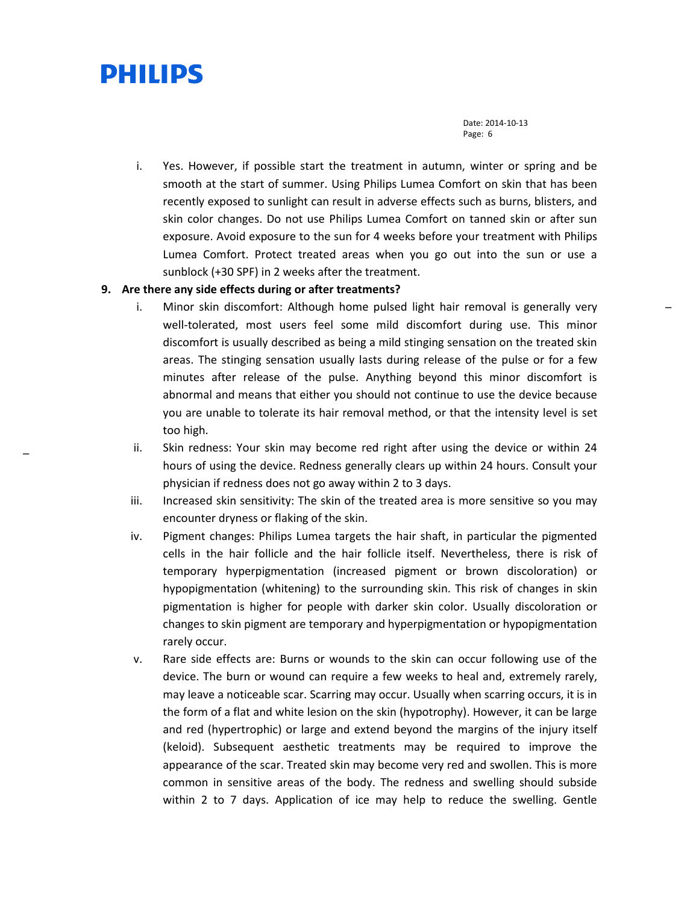Date: 2014-10-13 Page: 6

[\\_](#page-0-0)

i. Yes. However, if possible start the treatment in autumn, winter or spring and be smooth at the start of summer. Using Philips Lumea Comfort on skin that has been recently exposed to sunlight can result in adverse effects such as burns, blisters, and skin color changes. Do not use Philips Lumea Comfort on tanned skin or after sun exposure. Avoid exposure to the sun for 4 weeks before your treatment with Philips Lumea Comfort. Protect treated areas when you go out into the sun or use a sunblock (+30 SPF) in 2 weeks after the treatment.

# **9. Are there any side effects during or after treatments?**

- i. Minor skin discomfort: Although home pulsed light hair removal is generally very well-tolerated, most users feel some mild discomfort during use. This minor discomfort is usually described as being a mild stinging sensation on the treated skin areas. The stinging sensation usually lasts during release of the pulse or for a few minutes after release of the pulse. Anything beyond this minor discomfort is abnormal and means that either you should not continue to use the device because you are unable to tolerate its hair removal method, or that the intensity level is set too high.
- ii. Skin redness: Your skin may become red right after using the device or within 24 hours of using the device. Redness generally clears up within 24 hours. Consult your physician if redness does not go away within 2 to 3 days.
- iii. Increased skin sensitivity: The skin of the treated area is more sensitive so you may encounter dryness or flaking of the skin.
- iv. Pigment changes: Philips Lumea targets the hair shaft, in particular the pigmented cells in the hair follicle and the hair follicle itself. Nevertheless, there is risk of temporary hyperpigmentation (increased pigment or brown discoloration) or hypopigmentation (whitening) to the surrounding skin. This risk of changes in skin pigmentation is higher for people with darker skin color. Usually discoloration or changes to skin pigment are temporary and hyperpigmentation or hypopigmentation rarely occur.
- v. Rare side effects are: Burns or wounds to the skin can occur following use of the device. The burn or wound can require a few weeks to heal and, extremely rarely, may leave a noticeable scar. Scarring may occur. Usually when scarring occurs, it is in the form of a flat and white lesion on the skin (hypotrophy). However, it can be large and red (hypertrophic) or large and extend beyond the margins of the injury itself (keloid). Subsequent aesthetic treatments may be required to improve the appearance of the scar. Treated skin may become very red and swollen. This is more common in sensitive areas of the body. The redness and swelling should subside within 2 to 7 days. Application of ice may help to reduce the swelling. Gentle

[\\_](#page-0-0)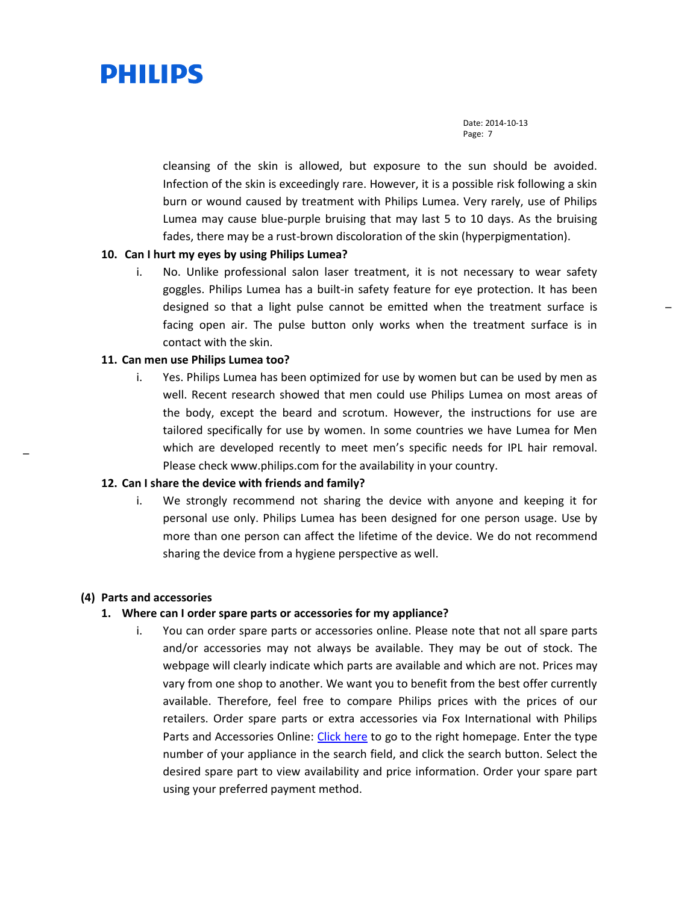

cleansing of the skin is allowed, but exposure to the sun should be avoided. Infection of the skin is exceedingly rare. However, it is a possible risk following a skin burn or wound caused by treatment with Philips Lumea. Very rarely, use of Philips Lumea may cause blue-purple bruising that may last 5 to 10 days. As the bruising fades, there may be a rust-brown discoloration of the skin (hyperpigmentation).

### **10. Can I hurt my eyes by using Philips Lumea?**

i. No. Unlike professional salon laser treatment, it is not necessary to wear safety goggles. Philips Lumea has a built-in safety feature for eye protection. It has been designed so that a light pulse cannot be emitted when the treatment surface is facing open air. The pulse button only works when the treatment surface is in contact with the skin.

# **11. Can men use Philips Lumea too?**

i. Yes. Philips Lumea has been optimized for use by women but can be used by men as well. Recent research showed that men could use Philips Lumea on most areas of the body, except the beard and scrotum. However, the instructions for use are tailored specifically for use by women. In some countries we have Lumea for Men which are developed recently to meet men's specific needs for IPL hair removal. Please check www.philips.com for the availability in your country.

#### **12. Can I share the device with friends and family?**

i. We strongly recommend not sharing the device with anyone and keeping it for personal use only. Philips Lumea has been designed for one person usage. Use by more than one person can affect the lifetime of the device. We do not recommend sharing the device from a hygiene perspective as well.

#### **(4) Parts and accessories**

[\\_](#page-0-0)

### **1. Where can I order spare parts or accessories for my appliance?**

i. You can order spare parts or accessories online. Please note that not all spare parts and/or accessories may not always be available. They may be out of stock. The webpage will clearly indicate which parts are available and which are not. Prices may vary from one shop to another. We want you to benefit from the best offer currently available. Therefore, feel free to compare Philips prices with the prices of our retailers. Order spare parts or extra accessories via Fox International with Philips Parts and Accessories Online: [Click here](http://philipsparts.fox-international.com/) to go to the right homepage. Enter the type number of your appliance in the search field, and click the search button. Select the desired spare part to view availability and price information. Order your spare part using your preferred payment method.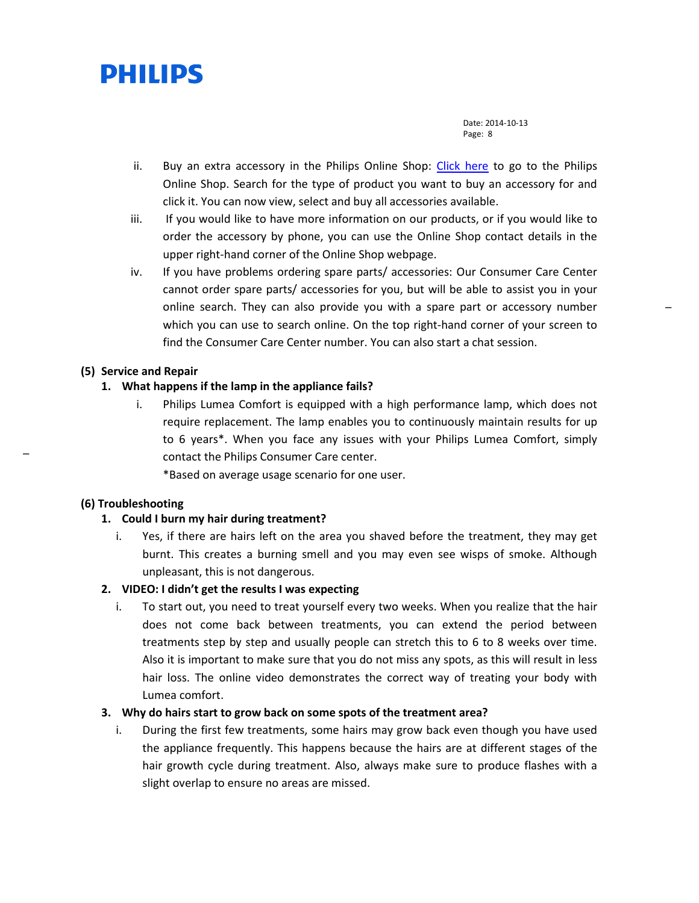

- ii. Buy an extra accessory in the Philips Online Shop: [Click here](http://www.support.philips.com/support/service/onlineStore.jsp?userCountry=us&userLanguage=en) to go to the Philips Online Shop. Search for the type of product you want to buy an accessory for and click it. You can now view, select and buy all accessories available.
- iii. If you would like to have more information on our products, or if you would like to order the accessory by phone, you can use the Online Shop contact details in the upper right-hand corner of the Online Shop webpage.
- iv. If you have problems ordering spare parts/ accessories: Our Consumer Care Center cannot order spare parts/ accessories for you, but will be able to assist you in your online search. They can also provide you with a spare part or accessory number which you can use to search online. On the top right-hand corner of your screen to find the Consumer Care Center number. You can also start a chat session.

#### **(5) Service and Repair**

#### **1. What happens if the lamp in the appliance fails?**

i. Philips Lumea Comfort is equipped with a high performance lamp, which does not require replacement. The lamp enables you to continuously maintain results for up to 6 years\*. When you face any issues with your Philips Lumea Comfort, simply contact the Philips Consumer Care center.

\*Based on average usage scenario for one user.

### **(6) Troubleshooting**

[\\_](#page-0-0)

### **1. Could I burn my hair during treatment?**

i. Yes, if there are hairs left on the area you shaved before the treatment, they may get burnt. This creates a burning smell and you may even see wisps of smoke. Although unpleasant, this is not dangerous.

### **2. VIDEO: I didn't get the results I was expecting**

i. To start out, you need to treat yourself every two weeks. When you realize that the hair does not come back between treatments, you can extend the period between treatments step by step and usually people can stretch this to 6 to 8 weeks over time. Also it is important to make sure that you do not miss any spots, as this will result in less hair loss. The online video demonstrates the correct way of treating your body with Lumea comfort.

# **3. Why do hairs start to grow back on some spots of the treatment area?**

i. During the first few treatments, some hairs may grow back even though you have used the appliance frequently. This happens because the hairs are at different stages of the hair growth cycle during treatment. Also, always make sure to produce flashes with a slight overlap to ensure no areas are missed.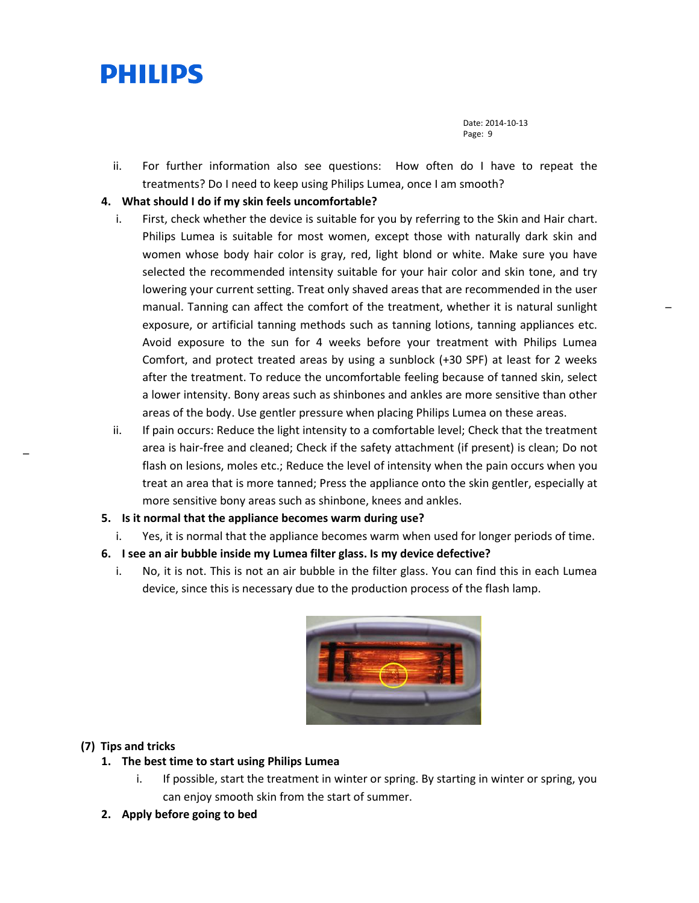Date: 2014-10-13 Page: 9

ii. For further information also see questions: How often do I have to repeat the treatments? Do I need to keep using Philips Lumea, once I am smooth?

# **4. What should I do if my skin feels uncomfortable?**

- i. First, check whether the device is suitable for you by referring to the Skin and Hair chart. Philips Lumea is suitable for most women, except those with naturally dark skin and women whose body hair color is gray, red, light blond or white. Make sure you have selected the recommended intensity suitable for your hair color and skin tone, and try lowering your current setting. Treat only shaved areas that are recommended in the user manual. Tanning can affect the comfort of the treatment, whether it is natural sunlight exposure, or artificial tanning methods such as tanning lotions, tanning appliances etc. Avoid exposure to the sun for 4 weeks before your treatment with Philips Lumea Comfort, and protect treated areas by using a sunblock (+30 SPF) at least for 2 weeks after the treatment. To reduce the uncomfortable feeling because of tanned skin, select a lower intensity. Bony areas such as shinbones and ankles are more sensitive than other areas of the body. Use gentler pressure when placing Philips Lumea on these areas.
- ii. If pain occurs: Reduce the light intensity to a comfortable level; Check that the treatment area is hair-free and cleaned; Check if the safety attachment (if present) is clean; Do not flash on lesions, moles etc.; Reduce the level of intensity when the pain occurs when you treat an area that is more tanned; Press the appliance onto the skin gentler, especially at more sensitive bony areas such as shinbone, knees and ankles.
- **5. Is it normal that the appliance becomes warm during use?**
	- i. Yes, it is normal that the appliance becomes warm when used for longer periods of time.
- **6. I see an air bubble inside my Lumea filter glass. Is my device defective?**
	- i. No, it is not. This is not an air bubble in the filter glass. You can find this in each Lumea device, since this is necessary due to the production process of the flash lamp.



# **(7) Tips and tricks**

[\\_](#page-0-0)

- **1. The best time to start using Philips Lumea**
	- i. If possible, start the treatment in winter or spring. By starting in winter or spring, you can enjoy smooth skin from the start of summer.
- **2. Apply before going to bed**

[\\_](#page-0-0)